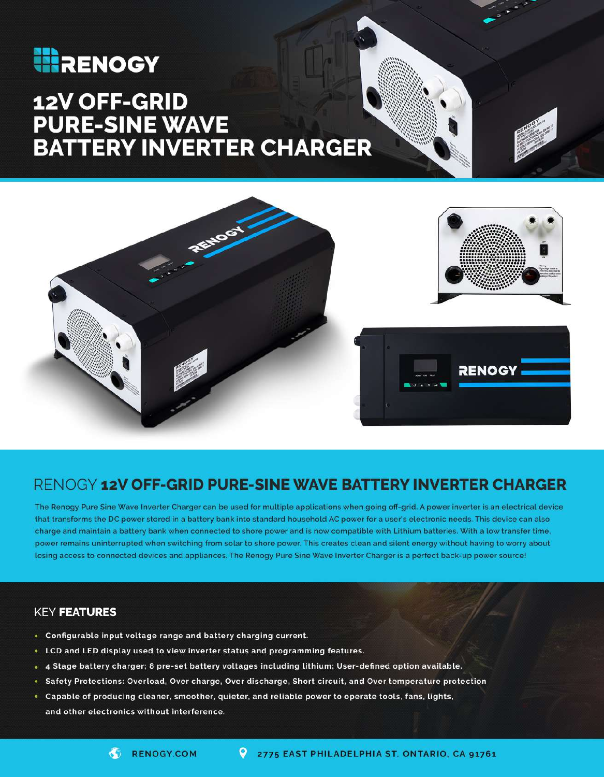## **HERENOGY**

# 12V OFF-GRID **PURE-SINE WAVE<br>BATTERY INVERTER CHARGER**



### RENOGY 12V OFF-GRID PURE-SINE WAVE BATTERY INVERTER CHARGER

The Renogy Pure Sine Wave Inverter Charger can be used for multiple applications when going off-grid. A power inverter is an electrical device that transforms the DC power stored in a battery bank into standard household AC power for a user's electronic needs. This device can also charge and maintain a battery bank when connected to shore power and is now compatible with Lithium batteries. With a low transfer time, power remains uninterrupted when switching from solar to shore power. This creates clean and silent energy without having to worry about losing access to connected devices and appliances. The Renogy Pure Sine Wave Inverter Charger is a perfect back-up power source!

#### **KEY FEATURES**

- Configurable input voltage range and battery charging current.
- LCD and LED display used to view inverter status and programming features.
- . 4 Stage battery charger; 8 pre-set battery voltages including lithium; User-defined option available.
- · Safety Protections: Overload, Over charge, Over discharge, Short circuit, and Over temperature protection
- . Capable of producing cleaner, smoother, quieter, and reliable power to operate tools, fans, lights, and other electronics without interference.